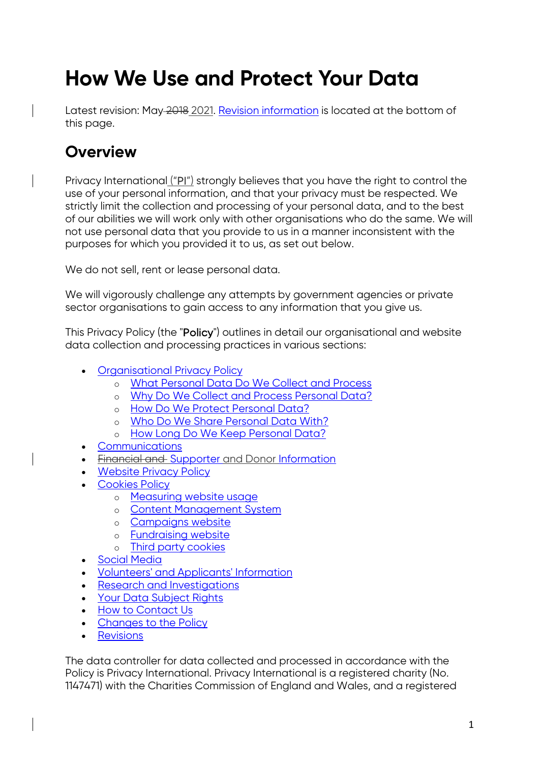# **How We Use and Protect Your Data**

Latest revision: May-2018 2021. Revision information is located at the bottom of this page.

# **Overview**

Privacy International ("PI") strongly believes that you have the right to control the use of your personal information, and that your privacy must be respected. We strictly limit the collection and processing of your personal data, and to the best of our abilities we will work only with other organisations who do the same. We will not use personal data that you provide to us in a manner inconsistent with the purposes for which you provided it to us, as set out below.

We do not sell, rent or lease personal data.

We will vigorously challenge any attempts by government agencies or private sector organisations to gain access to any information that you give us.

This Privacy Policy (the "Policy") outlines in detail our organisational and website data collection and processing practices in various sections:

- Organisational Privacy Policy
	- o What Personal Data Do We Collect and Process
	- o Why Do We Collect and Process Personal Data?
	- o How Do We Protect Personal Data?
	- o Who Do We Share Personal Data With?
	- o How Long Do We Keep Personal Data?
- Communications
- Financial and Supporter and Donor Information
- Website Privacy Policy
- Cookies Policy
	- o Measuring website usage
	- o Content Management System
	- o Campaigns website
	- o Fundraising website
	- o Third party cookies
- Social Media
- Volunteers' and Applicants' Information
- Research and Investigations
- Your Data Subject Rights
- How to Contact Us
- Changes to the Policy
- **Revisions**

The data controller for data collected and processed in accordance with the Policy is Privacy International. Privacy International is a registered charity (No. 1147471) with the Charities Commission of England and Wales, and a registered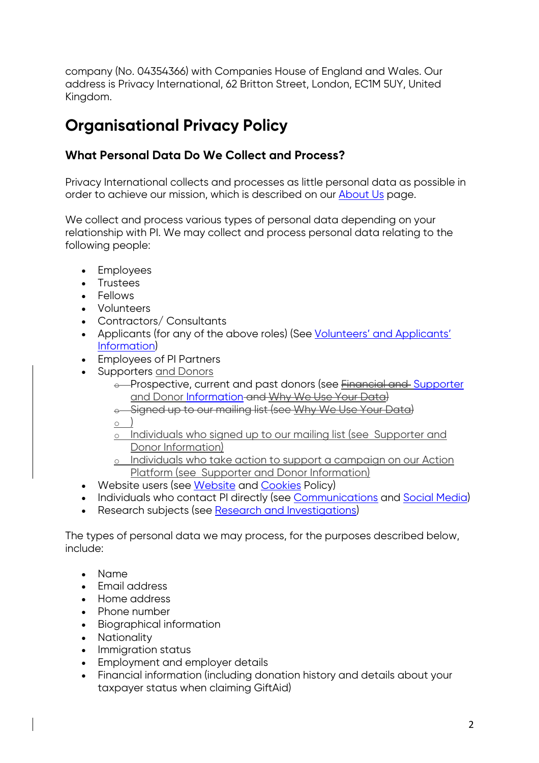company (No. 04354366) with Companies House of England and Wales. Our address is Privacy International, 62 Britton Street, London, EC1M 5UY, United Kingdom.

# **Organisational Privacy Policy**

## **What Personal Data Do We Collect and Process?**

Privacy International collects and processes as little personal data as possible in order to achieve our mission, which is described on our About Us page.

We collect and process various types of personal data depending on your relationship with PI. We may collect and process personal data relating to the following people:

- Employees
- Trustees
- Fellows
- Volunteers
- Contractors/ Consultants
- Applicants (for any of the above roles) (See Volunteers' and Applicants' Information)
- Employees of PI Partners
- Supporters and Donors
	- e-Prospective, current and past donors (see Financial and Supporter and Donor Information and Why We Use Your Data)
	- o Signed up to our mailing list (see Why We Use Your Data)

 $\circ$ 

- o Individuals who signed up to our mailing list (see Supporter and Donor Information)
- o Individuals who take action to support a campaign on our Action Platform (see Supporter and Donor Information)
- Website users (see Website and Cookies Policy)
- Individuals who contact PI directly (see Communications and Social Media)
- Research subjects (see Research and Investigations)

The types of personal data we may process, for the purposes described below, include:

- Name
- Email address
- Home address
- Phone number
- Biographical information
- Nationality
- Immigration status
- Employment and employer details
- Financial information (including donation history and details about your taxpayer status when claiming GiftAid)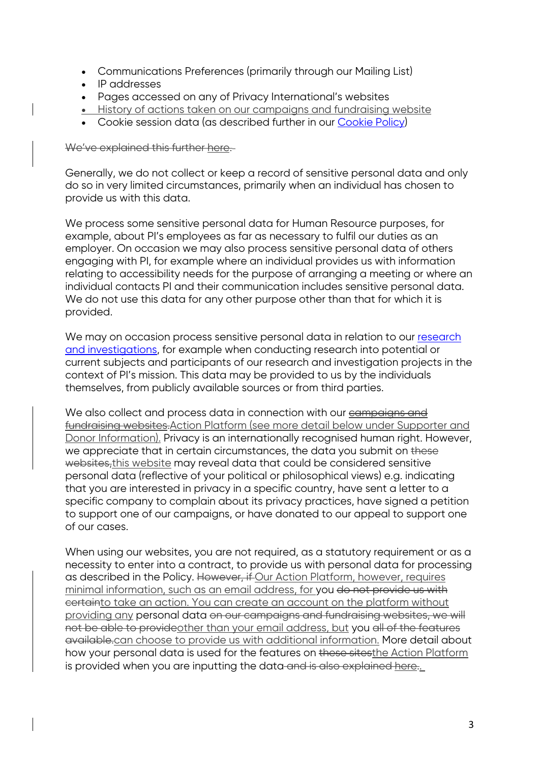- Communications Preferences (primarily through our Mailing List)
- IP addresses
- Pages accessed on any of Privacy International's websites
- History of actions taken on our campaigns and fundraising website
- Cookie session data (as described further in our Cookie Policy)

#### We've explained this further here.

Generally, we do not collect or keep a record of sensitive personal data and only do so in very limited circumstances, primarily when an individual has chosen to provide us with this data.

We process some sensitive personal data for Human Resource purposes, for example, about PI's employees as far as necessary to fulfil our duties as an employer. On occasion we may also process sensitive personal data of others engaging with PI, for example where an individual provides us with information relating to accessibility needs for the purpose of arranging a meeting or where an individual contacts PI and their communication includes sensitive personal data. We do not use this data for any other purpose other than that for which it is provided.

We may on occasion process sensitive personal data in relation to our research and investigations, for example when conducting research into potential or current subjects and participants of our research and investigation projects in the context of PI's mission. This data may be provided to us by the individuals themselves, from publicly available sources or from third parties.

We also collect and process data in connection with our campaigns and fundraising websites.Action Platform (see more detail below under Supporter and Donor Information). Privacy is an internationally recognised human right. However, we appreciate that in certain circumstances, the data you submit on these websites, this website may reveal data that could be considered sensitive personal data (reflective of your political or philosophical views) e.g. indicating that you are interested in privacy in a specific country, have sent a letter to a specific company to complain about its privacy practices, have signed a petition to support one of our campaigns, or have donated to our appeal to support one of our cases.

When using our websites, you are not required, as a statutory requirement or as a necessity to enter into a contract, to provide us with personal data for processing as described in the Policy. However, if Our Action Platform, however, requires minimal information, such as an email address, for you do not provide us with certainto take an action. You can create an account on the platform without providing any personal data on our campaigns and fundraising websites, we will not be able to provideother than your email address, but you all of the features available.can choose to provide us with additional information. More detail about how your personal data is used for the features on these sitesthe Action Platform is provided when you are inputting the data and is also explained here..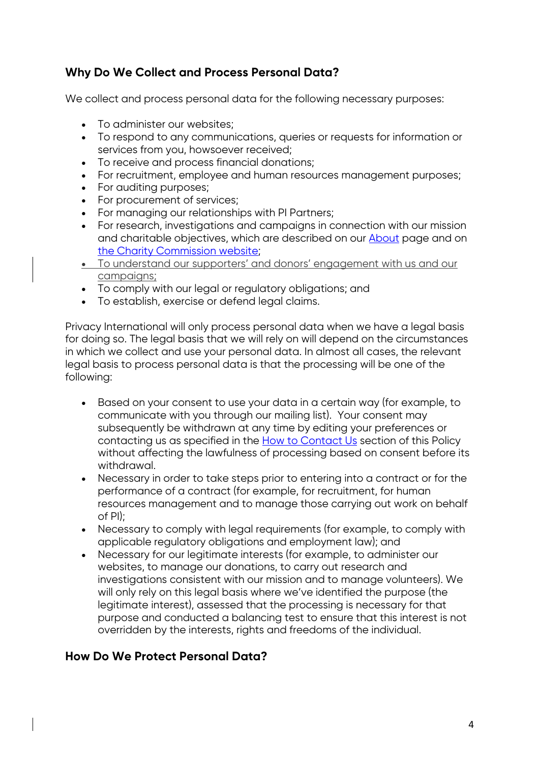## **Why Do We Collect and Process Personal Data?**

We collect and process personal data for the following necessary purposes:

- To administer our websites;
- To respond to any communications, queries or requests for information or services from you, howsoever received;
- To receive and process financial donations;
- For recruitment, employee and human resources management purposes;
- For auditing purposes:
- For procurement of services;
- For managing our relationships with PI Partners;
- For research, investigations and campaigns in connection with our mission and charitable objectives, which are described on our About page and on the Charity Commission website;
- To understand our supporters' and donors' engagement with us and our campaigns;
- To comply with our legal or regulatory obligations; and
- To establish, exercise or defend legal claims.

Privacy International will only process personal data when we have a legal basis for doing so. The legal basis that we will rely on will depend on the circumstances in which we collect and use your personal data. In almost all cases, the relevant legal basis to process personal data is that the processing will be one of the following:

- Based on your consent to use your data in a certain way (for example, to communicate with you through our mailing list). Your consent may subsequently be withdrawn at any time by editing your preferences or contacting us as specified in the **How to Contact Us** section of this Policy without affecting the lawfulness of processing based on consent before its withdrawal.
- Necessary in order to take steps prior to entering into a contract or for the performance of a contract (for example, for recruitment, for human resources management and to manage those carrying out work on behalf of PI);
- Necessary to comply with legal requirements (for example, to comply with applicable regulatory obligations and employment law); and
- Necessary for our legitimate interests (for example, to administer our websites, to manage our donations, to carry out research and investigations consistent with our mission and to manage volunteers). We will only rely on this legal basis where we've identified the purpose (the legitimate interest), assessed that the processing is necessary for that purpose and conducted a balancing test to ensure that this interest is not overridden by the interests, rights and freedoms of the individual.

## **How Do We Protect Personal Data?**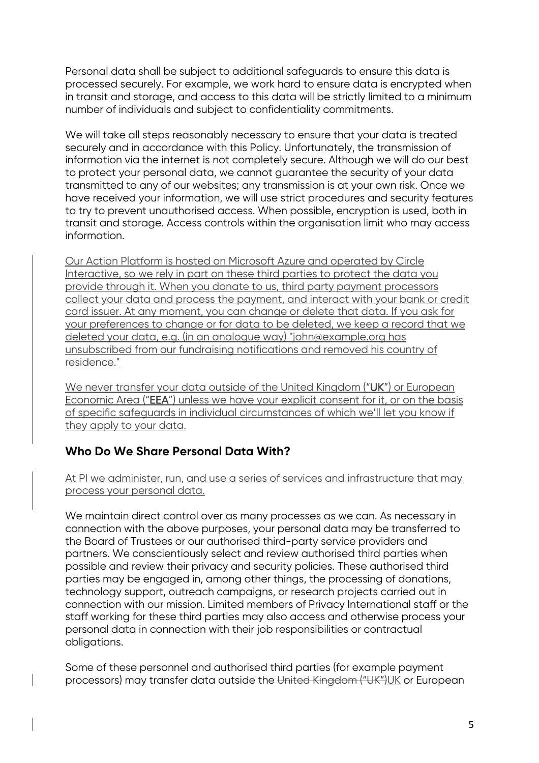Personal data shall be subject to additional safeguards to ensure this data is processed securely. For example, we work hard to ensure data is encrypted when in transit and storage, and access to this data will be strictly limited to a minimum number of individuals and subject to confidentiality commitments.

We will take all steps reasonably necessary to ensure that your data is treated securely and in accordance with this Policy. Unfortunately, the transmission of information via the internet is not completely secure. Although we will do our best to protect your personal data, we cannot guarantee the security of your data transmitted to any of our websites; any transmission is at your own risk. Once we have received your information, we will use strict procedures and security features to try to prevent unauthorised access. When possible, encryption is used, both in transit and storage. Access controls within the organisation limit who may access information.

Our Action Platform is hosted on Microsoft Azure and operated by Circle Interactive, so we rely in part on these third parties to protect the data you provide through it. When you donate to us, third party payment processors collect your data and process the payment, and interact with your bank or credit card issuer. At any moment, you can change or delete that data. If you ask for your preferences to change or for data to be deleted, we keep a record that we deleted your data, e.g. (in an analogue way) "john@example.org has unsubscribed from our fundraising notifications and removed his country of residence."

We never transfer your data outside of the United Kingdom ("UK") or European Economic Area ("EEA") unless we have your explicit consent for it, or on the basis of specific safeguards in individual circumstances of which we'll let you know if they apply to your data.

## **Who Do We Share Personal Data With?**

At PI we administer, run, and use a series of services and infrastructure that may process your personal data.

We maintain direct control over as many processes as we can. As necessary in connection with the above purposes, your personal data may be transferred to the Board of Trustees or our authorised third-party service providers and partners. We conscientiously select and review authorised third parties when possible and review their privacy and security policies. These authorised third parties may be engaged in, among other things, the processing of donations, technology support, outreach campaigns, or research projects carried out in connection with our mission. Limited members of Privacy International staff or the staff working for these third parties may also access and otherwise process your personal data in connection with their job responsibilities or contractual obligations.

Some of these personnel and authorised third parties (for example payment processors) may transfer data outside the United Kingdom ("UK")UK or European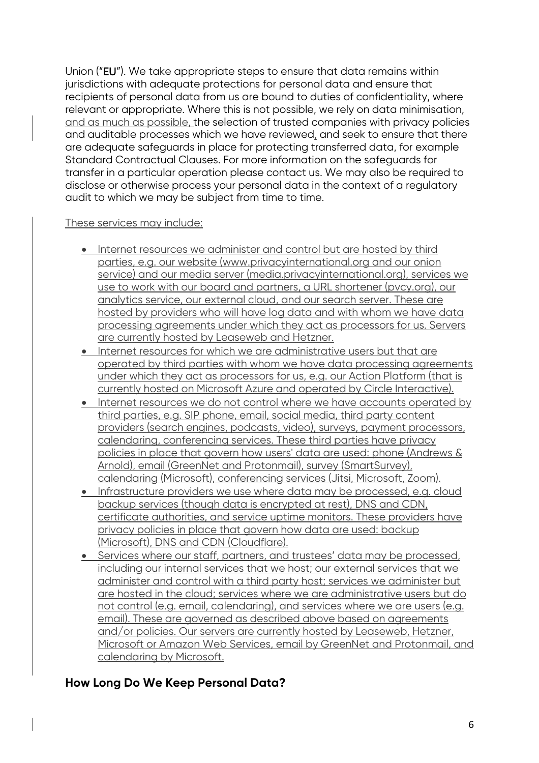Union ("EU"). We take appropriate steps to ensure that data remains within jurisdictions with adequate protections for personal data and ensure that recipients of personal data from us are bound to duties of confidentiality, where relevant or appropriate. Where this is not possible, we rely on data minimisation, and as much as possible, the selection of trusted companies with privacy policies and auditable processes which we have reviewed, and seek to ensure that there are adequate safeguards in place for protecting transferred data, for example Standard Contractual Clauses. For more information on the safeguards for transfer in a particular operation please contact us. We may also be required to disclose or otherwise process your personal data in the context of a regulatory audit to which we may be subject from time to time.

### These services may include:

- Internet resources we administer and control but are hosted by third parties, e.g. our website (www.privacyinternational.org and our onion service) and our media server (media.privacyinternational.org), services we use to work with our board and partners, a URL shortener (pvcy.org), our analytics service, our external cloud, and our search server. These are hosted by providers who will have log data and with whom we have data processing agreements under which they act as processors for us. Servers are currently hosted by Leaseweb and Hetzner.
- Internet resources for which we are administrative users but that are operated by third parties with whom we have data processing agreements under which they act as processors for us, e.g. our Action Platform (that is currently hosted on Microsoft Azure and operated by Circle Interactive).
- Internet resources we do not control where we have accounts operated by third parties, e.g. SIP phone, email, social media, third party content providers (search engines, podcasts, video), surveys, payment processors, calendaring, conferencing services. These third parties have privacy policies in place that govern how users' data are used: phone (Andrews & Arnold), email (GreenNet and Protonmail), survey (SmartSurvey), calendaring (Microsoft), conferencing services (Jitsi, Microsoft, Zoom).
- Infrastructure providers we use where data may be processed, e.g. cloud backup services (though data is encrypted at rest), DNS and CDN, certificate authorities, and service uptime monitors. These providers have privacy policies in place that govern how data are used: backup (Microsoft), DNS and CDN (Cloudflare).
- Services where our staff, partners, and trustees' data may be processed, including our internal services that we host; our external services that we administer and control with a third party host; services we administer but are hosted in the cloud; services where we are administrative users but do not control (e.g. email, calendaring), and services where we are users (e.g. email). These are governed as described above based on agreements and/or policies. Our servers are currently hosted by Leaseweb, Hetzner, Microsoft or Amazon Web Services, email by GreenNet and Protonmail, and calendaring by Microsoft.

## **How Long Do We Keep Personal Data?**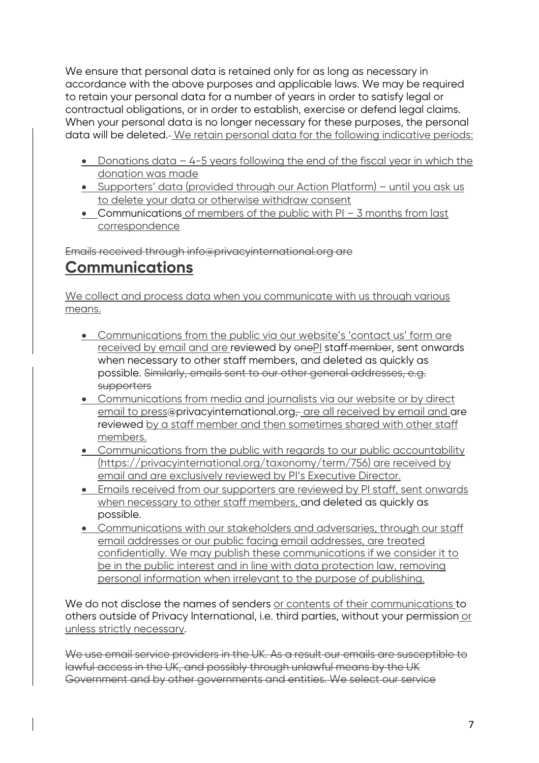We ensure that personal data is retained only for as long as necessary in accordance with the above purposes and applicable laws. We may be required to retain your personal data for a number of years in order to satisfy legal or contractual obligations, or in order to establish, exercise or defend legal claims. When your personal data is no longer necessary for these purposes, the personal data will be deleted. We retain personal data for the following indicative periods:

- Donations data 4-5 years following the end of the fiscal year in which the donation was made
- Supporters' data (provided through our Action Platform) until you ask us to delete your data or otherwise withdraw consent
- Communications of members of the public with PI 3 months from last correspondence

Emails received through info@privacyinternational.org are

# **Communications**

We collect and process data when you communicate with us through various means.

- Communications from the public via our website's 'contact us' form are received by email and are reviewed by onePI staff-member, sent onwards when necessary to other staff members, and deleted as quickly as possible. Similarly, emails sent to our other general addresses, e.g. **supporters**
- Communications from media and journalists via our website or by direct email to press@privacyinternational.org- are all received by email and are reviewed by a staff member and then sometimes shared with other staff members.
- Communications from the public with regards to our public accountability (https://privacyinternational.org/taxonomy/term/756) are received by email and are exclusively reviewed by PI's Executive Director.
- Emails received from our supporters are reviewed by PI staff, sent onwards when necessary to other staff members, and deleted as quickly as possible.
- Communications with our stakeholders and adversaries, through our staff email addresses or our public facing email addresses, are treated confidentially. We may publish these communications if we consider it to be in the public interest and in line with data protection law, removing personal information when irrelevant to the purpose of publishing.

We do not disclose the names of senders or contents of their communications to others outside of Privacy International, i.e. third parties, without your permission or unless strictly necessary.

We use email service providers in the UK. As a result our emails are susceptible to lawful access in the UK, and possibly through unlawful means by the UK Government and by other governments and entities. We select our service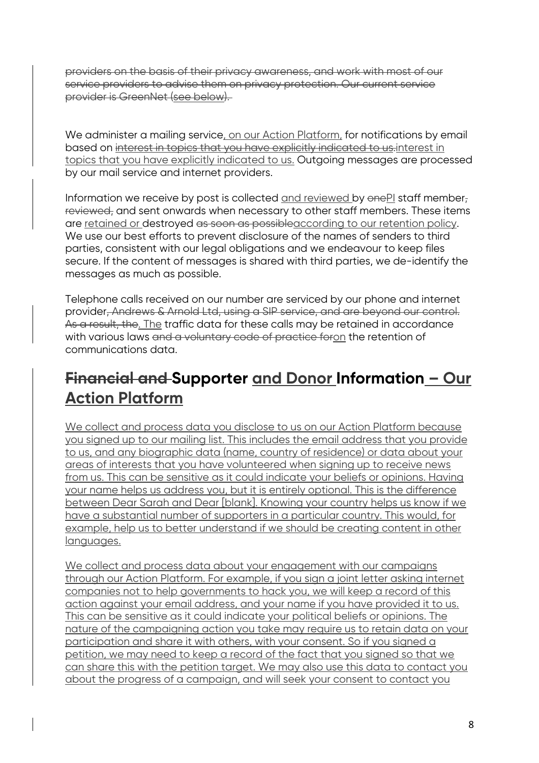providers on the basis of their privacy awareness, and work with most of our service providers to advise them on privacy protection. Our current service provider is GreenNet (see below).

We administer a mailing service, on our Action Platform, for notifications by email based on interest in topics that you have explicitly indicated to us.interest in topics that you have explicitly indicated to us. Outgoing messages are processed by our mail service and internet providers.

Information we receive by post is collected and reviewed by  $\theta$ enePI staff member, reviewed, and sent onwards when necessary to other staff members. These items are retained or destroyed as soon as possibleaccording to our retention policy. We use our best efforts to prevent disclosure of the names of senders to third parties, consistent with our legal obligations and we endeavour to keep files secure. If the content of messages is shared with third parties, we de-identify the messages as much as possible.

Telephone calls received on our number are serviced by our phone and internet provider, Andrews & Arnold Ltd, using a SIP service, and are beyond our control. As a result, the. The traffic data for these calls may be retained in accordance with various laws and a voluntary code of practice foron the retention of communications data.

# **Financial and Supporter and Donor Information – Our Action Platform**

We collect and process data you disclose to us on our Action Platform because you signed up to our mailing list. This includes the email address that you provide to us, and any biographic data (name, country of residence) or data about your areas of interests that you have volunteered when signing up to receive news from us. This can be sensitive as it could indicate your beliefs or opinions. Having your name helps us address you, but it is entirely optional. This is the difference between Dear Sarah and Dear [blank]. Knowing your country helps us know if we have a substantial number of supporters in a particular country. This would, for example, help us to better understand if we should be creating content in other languages.

We collect and process data about your engagement with our campaigns through our Action Platform. For example, if you sign a joint letter asking internet companies not to help governments to hack you, we will keep a record of this action against your email address, and your name if you have provided it to us. This can be sensitive as it could indicate your political beliefs or opinions. The nature of the campaigning action you take may require us to retain data on your participation and share it with others, with your consent. So if you signed a petition, we may need to keep a record of the fact that you signed so that we can share this with the petition target. We may also use this data to contact you about the progress of a campaign, and will seek your consent to contact you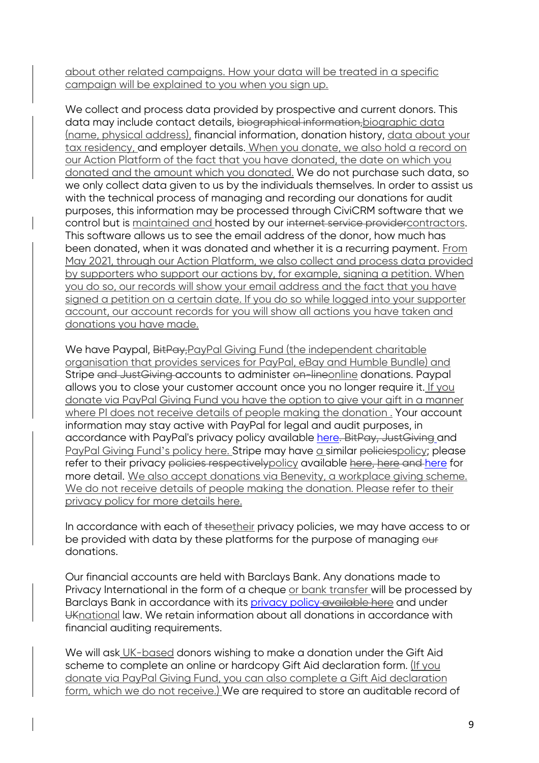about other related campaigns. How your data will be treated in a specific campaign will be explained to you when you sign up.

We collect and process data provided by prospective and current donors. This data may include contact details, biographical information,biographic data (name, physical address), financial information, donation history, data about your tax residency, and employer details. When you donate, we also hold a record on our Action Platform of the fact that you have donated, the date on which you donated and the amount which you donated. We do not purchase such data, so we only collect data given to us by the individuals themselves. In order to assist us with the technical process of managing and recording our donations for audit purposes, this information may be processed through CiviCRM software that we control but is maintained and hosted by our internet service provider contractors. This software allows us to see the email address of the donor, how much has been donated, when it was donated and whether it is a recurring payment. From May 2021, through our Action Platform, we also collect and process data provided by supporters who support our actions by, for example, signing a petition. When you do so, our records will show your email address and the fact that you have signed a petition on a certain date. If you do so while logged into your supporter account, our account records for you will show all actions you have taken and donations you have made.

We have Paypal, BitPay, PayPal Giving Fund (the independent charitable organisation that provides services for PayPal, eBay and Humble Bundle) and Stripe and Just Giving accounts to administer on-lineonline donations. Paypal allows you to close your customer account once you no longer require it. If you donate via PayPal Giving Fund you have the option to give your gift in a manner where PI does not receive details of people making the donation . Your account information may stay active with PayPal for legal and audit purposes, in accordance with PayPal's privacy policy available here. BitPay, JustGiving and PayPal Giving Fund's policy here. Stripe may have a similar policiespolicy; please refer to their privacy policies respectively policy available here, here and here for more detail. We also accept donations via Benevity, a workplace giving scheme. We do not receive details of people making the donation. Please refer to their privacy policy for more details here.

In accordance with each of thesetheir privacy policies, we may have access to or be provided with data by these platforms for the purpose of managing our donations.

Our financial accounts are held with Barclays Bank. Any donations made to Privacy International in the form of a cheque or bank transfer will be processed by Barclays Bank in accordance with its privacy policy available here and under UKnational law. We retain information about all donations in accordance with financial auditing requirements.

We will ask UK-based donors wishing to make a donation under the Gift Aid scheme to complete an online or hardcopy Gift Aid declaration form. (If you donate via PayPal Giving Fund, you can also complete a Gift Aid declaration form, which we do not receive.) We are required to store an auditable record of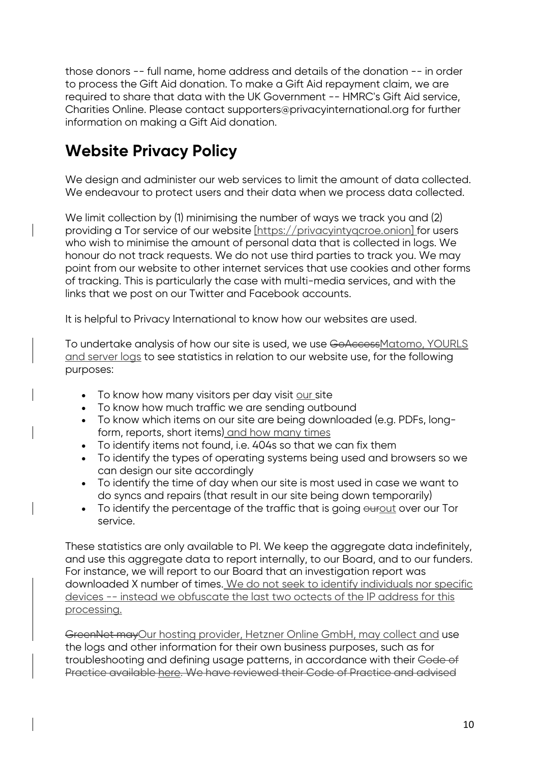those donors -- full name, home address and details of the donation -- in order to process the Gift Aid donation. To make a Gift Aid repayment claim, we are required to share that data with the UK Government -- HMRC's Gift Aid service, Charities Online. Please contact supporters@privacyinternational.org for further information on making a Gift Aid donation.

# **Website Privacy Policy**

We design and administer our web services to limit the amount of data collected. We endeavour to protect users and their data when we process data collected.

We limit collection by (1) minimising the number of ways we track you and (2) providing a Tor service of our website [https://privacyintyqcroe.onion] for users who wish to minimise the amount of personal data that is collected in logs. We honour do not track requests. We do not use third parties to track you. We may point from our website to other internet services that use cookies and other forms of tracking. This is particularly the case with multi-media services, and with the links that we post on our Twitter and Facebook accounts.

It is helpful to Privacy International to know how our websites are used.

To undertake analysis of how our site is used, we use GoAccessMatomo, YOURLS and server logs to see statistics in relation to our website use, for the following purposes:

- To know how many visitors per day visit our site
- To know how much traffic we are sending outbound
- To know which items on our site are being downloaded (e.g. PDFs, longform, reports, short items) and how many times
- To identify items not found, i.e. 404s so that we can fix them
- To identify the types of operating systems being used and browsers so we can design our site accordingly
- To identify the time of day when our site is most used in case we want to do syncs and repairs (that result in our site being down temporarily)
- To identify the percentage of the traffic that is going ourout over our Tor service.

These statistics are only available to PI. We keep the aggregate data indefinitely, and use this aggregate data to report internally, to our Board, and to our funders. For instance, we will report to our Board that an investigation report was downloaded X number of times. We do not seek to identify individuals nor specific devices -- instead we obfuscate the last two octects of the IP address for this processing.

GreenNet mayOur hosting provider, Hetzner Online GmbH, may collect and use the logs and other information for their own business purposes, such as for troubleshooting and defining usage patterns, in accordance with their Code of Practice available here. We have reviewed their Code of Practice and advised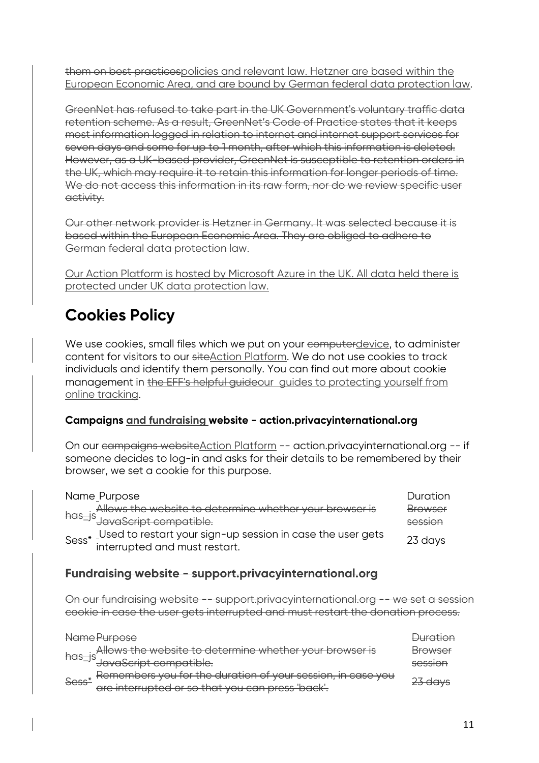them on best practicespolicies and relevant law. Hetzner are based within the European Economic Area, and are bound by German federal data protection law.

GreenNet has refused to take part in the UK Government's voluntary traffic data retention scheme. As a result, GreenNet's Code of Practice states that it keeps most information logged in relation to internet and internet support services for seven days and some for up to 1 month, after which this information is deleted. However, as a UK-based provider, GreenNet is susceptible to retention orders in the UK, which may require it to retain this information for longer periods of time. We do not access this information in its raw form, nor do we review specific user activity.

Our other network provider is Hetzner in Germany. It was selected because it is based within the European Economic Area. They are obliged to adhere to German federal data protection law.

Our Action Platform is hosted by Microsoft Azure in the UK. All data held there is protected under UK data protection law.

# **Cookies Policy**

We use cookies, small files which we put on your computer device, to administer content for visitors to our siteAction Platform. We do not use cookies to track individuals and identify them personally. You can find out more about cookie management in the EFF's helpful guideour guides to protecting yourself from online tracking.

### **Campaigns and fundraising website - action.privacyinternational.org**

On our campaigns websiteAction Platform -- action.privacyinternational.org -- if someone decides to log-in and asks for their details to be remembered by their browser, we set a cookie for this purpose.

|  | Name_Purpose                                                     | Duration       |
|--|------------------------------------------------------------------|----------------|
|  | Allows the website to determine whether your browser is          | <b>Browser</b> |
|  |                                                                  | session        |
|  | Sess* Used to restart your sign-up session in case the user gets | 23 days        |
|  | interrupted and must restart.                                    |                |

## **Fundraising website - support.privacyinternational.org**

On our fundraising website -- support.privacyinternational.org -- we set a session cookie in case the user gets interrupted and must restart the donation process.

|       | Name Purpose                                                | <u> Auration</u> |
|-------|-------------------------------------------------------------|------------------|
|       | Allows the website to determine whether your browser is     | Browser          |
|       | has_js<br>JavaScript compatible.                            | session          |
| Sess* | Remembers you for the duration of your session, in case you | $27$ dave        |
|       | are interrupted or so that you can press 'back'.            |                  |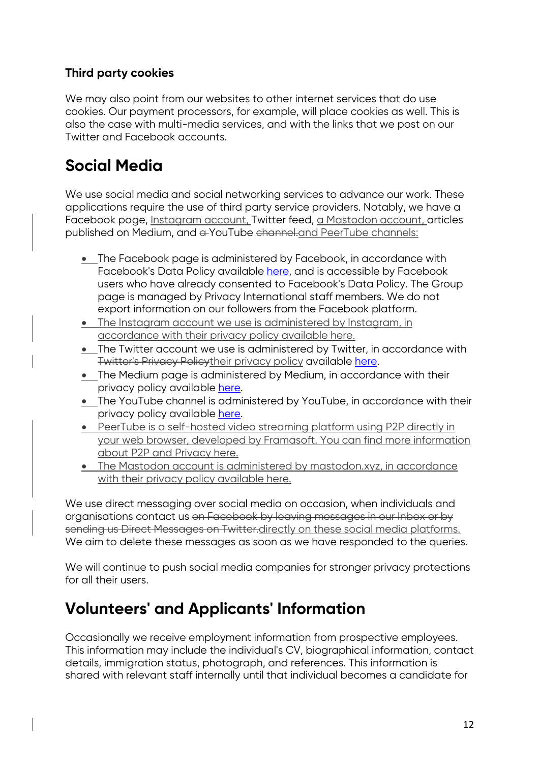## **Third party cookies**

We may also point from our websites to other internet services that do use cookies. Our payment processors, for example, will place cookies as well. This is also the case with multi-media services, and with the links that we post on our Twitter and Facebook accounts.

# **Social Media**

We use social media and social networking services to advance our work. These applications require the use of third party service providers. Notably, we have a Facebook page, Instagram account, Twitter feed, a Mastodon account, articles published on Medium, and a YouTube channel.and PeerTube channels:

- The Facebook page is administered by Facebook, in accordance with Facebook's Data Policy available here, and is accessible by Facebook users who have already consented to Facebook's Data Policy. The Group page is managed by Privacy International staff members. We do not export information on our followers from the Facebook platform.
- The Instagram account we use is administered by Instagram, in accordance with their privacy policy available here.
- The Twitter account we use is administered by Twitter, in accordance with Twitter's Privacy Policytheir privacy policy available here.
- The Medium page is administered by Medium, in accordance with their privacy policy available here.
- The YouTube channel is administered by YouTube, in accordance with their privacy policy available here.
- PeerTube is a self-hosted video streaming platform using P2P directly in your web browser, developed by Framasoft. You can find more information about P2P and Privacy here.
- The Mastodon account is administered by mastodon.xyz, in accordance with their privacy policy available here.

We use direct messaging over social media on occasion, when individuals and organisations contact us on Facebook by leaving messages in our Inbox or by sending us Direct Messages on Twitter.directly on these social media platforms. We aim to delete these messages as soon as we have responded to the queries.

We will continue to push social media companies for stronger privacy protections for all their users.

# **Volunteers' and Applicants' Information**

Occasionally we receive employment information from prospective employees. This information may include the individual's CV, biographical information, contact details, immigration status, photograph, and references. This information is shared with relevant staff internally until that individual becomes a candidate for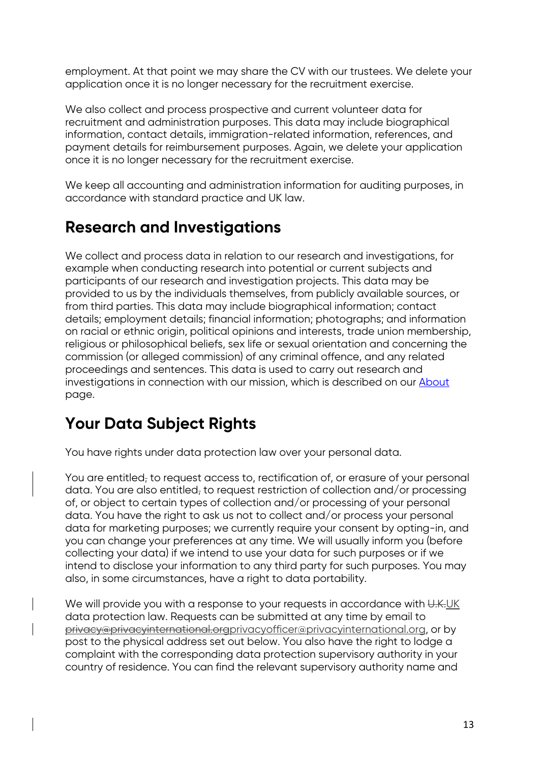employment. At that point we may share the CV with our trustees. We delete your application once it is no longer necessary for the recruitment exercise.

We also collect and process prospective and current volunteer data for recruitment and administration purposes. This data may include biographical information, contact details, immigration-related information, references, and payment details for reimbursement purposes. Again, we delete your application once it is no longer necessary for the recruitment exercise.

We keep all accounting and administration information for auditing purposes, in accordance with standard practice and UK law.

# **Research and Investigations**

We collect and process data in relation to our research and investigations, for example when conducting research into potential or current subjects and participants of our research and investigation projects. This data may be provided to us by the individuals themselves, from publicly available sources, or from third parties. This data may include biographical information; contact details; employment details; financial information; photographs; and information on racial or ethnic origin, political opinions and interests, trade union membership, religious or philosophical beliefs, sex life or sexual orientation and concerning the commission (or alleged commission) of any criminal offence, and any related proceedings and sentences. This data is used to carry out research and investigations in connection with our mission, which is described on our About page.

# **Your Data Subject Rights**

You have rights under data protection law over your personal data.

You are entitled, to request access to, rectification of, or erasure of your personal data. You are also entitled, to request restriction of collection and/or processing of, or object to certain types of collection and/or processing of your personal data. You have the right to ask us not to collect and/or process your personal data for marketing purposes; we currently require your consent by opting-in, and you can change your preferences at any time. We will usually inform you (before collecting your data) if we intend to use your data for such purposes or if we intend to disclose your information to any third party for such purposes. You may also, in some circumstances, have a right to data portability.

We will provide you with a response to your requests in accordance with U.K.UK data protection law. Requests can be submitted at any time by email to privacy@privacyinternational.orgprivacyofficer@privacyinternational.org, or by post to the physical address set out below. You also have the right to lodge a complaint with the corresponding data protection supervisory authority in your country of residence. You can find the relevant supervisory authority name and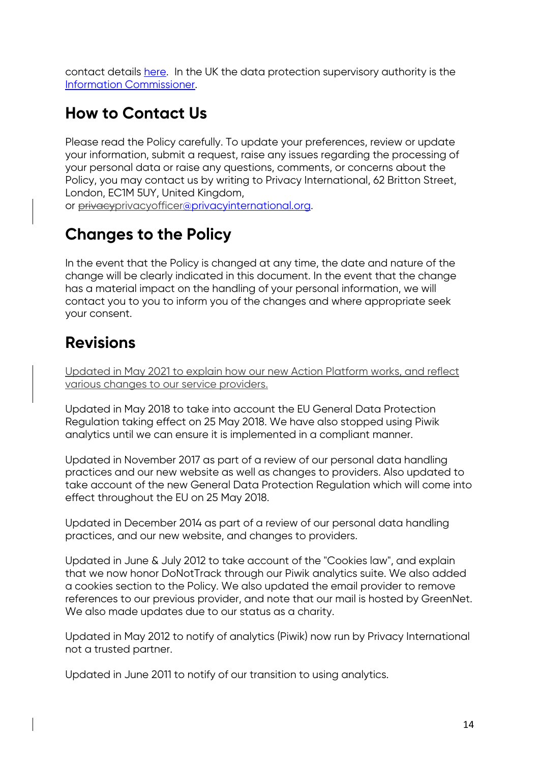contact details here. In the UK the data protection supervisory authority is the Information Commissioner.

# **How to Contact Us**

Please read the Policy carefully. To update your preferences, review or update your information, submit a request, raise any issues regarding the processing of your personal data or raise any questions, comments, or concerns about the Policy, you may contact us by writing to Privacy International, 62 Britton Street, London, EC1M 5UY, United Kingdom,

or privacyprivacyofficer@privacyinternational.org.

# **Changes to the Policy**

In the event that the Policy is changed at any time, the date and nature of the change will be clearly indicated in this document. In the event that the change has a material impact on the handling of your personal information, we will contact you to you to inform you of the changes and where appropriate seek your consent.

# **Revisions**

Updated in May 2021 to explain how our new Action Platform works, and reflect various changes to our service providers.

Updated in May 2018 to take into account the EU General Data Protection Regulation taking effect on 25 May 2018. We have also stopped using Piwik analytics until we can ensure it is implemented in a compliant manner.

Updated in November 2017 as part of a review of our personal data handling practices and our new website as well as changes to providers. Also updated to take account of the new General Data Protection Regulation which will come into effect throughout the EU on 25 May 2018.

Updated in December 2014 as part of a review of our personal data handling practices, and our new website, and changes to providers.

Updated in June & July 2012 to take account of the "Cookies law", and explain that we now honor DoNotTrack through our Piwik analytics suite. We also added a cookies section to the Policy. We also updated the email provider to remove references to our previous provider, and note that our mail is hosted by GreenNet. We also made updates due to our status as a charity.

Updated in May 2012 to notify of analytics (Piwik) now run by Privacy International not a trusted partner.

Updated in June 2011 to notify of our transition to using analytics.